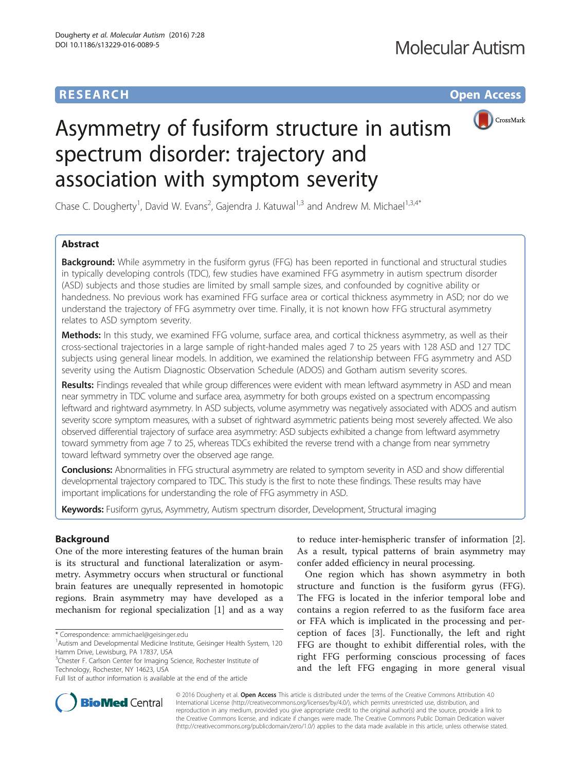# **RESEARCH CHE Open Access**



# Asymmetry of fusiform structure in autism spectrum disorder: trajectory and association with symptom severity

Chase C. Dougherty<sup>1</sup>, David W. Evans<sup>2</sup>, Gajendra J. Katuwal<sup>1,3</sup> and Andrew M. Michael<sup>1,3,4\*</sup>

## Abstract

Background: While asymmetry in the fusiform gyrus (FFG) has been reported in functional and structural studies in typically developing controls (TDC), few studies have examined FFG asymmetry in autism spectrum disorder (ASD) subjects and those studies are limited by small sample sizes, and confounded by cognitive ability or handedness. No previous work has examined FFG surface area or cortical thickness asymmetry in ASD; nor do we understand the trajectory of FFG asymmetry over time. Finally, it is not known how FFG structural asymmetry relates to ASD symptom severity.

Methods: In this study, we examined FFG volume, surface area, and cortical thickness asymmetry, as well as their cross-sectional trajectories in a large sample of right-handed males aged 7 to 25 years with 128 ASD and 127 TDC subjects using general linear models. In addition, we examined the relationship between FFG asymmetry and ASD severity using the Autism Diagnostic Observation Schedule (ADOS) and Gotham autism severity scores.

Results: Findings revealed that while group differences were evident with mean leftward asymmetry in ASD and mean near symmetry in TDC volume and surface area, asymmetry for both groups existed on a spectrum encompassing leftward and rightward asymmetry. In ASD subjects, volume asymmetry was negatively associated with ADOS and autism severity score symptom measures, with a subset of rightward asymmetric patients being most severely affected. We also observed differential trajectory of surface area asymmetry: ASD subjects exhibited a change from leftward asymmetry toward symmetry from age 7 to 25, whereas TDCs exhibited the reverse trend with a change from near symmetry toward leftward symmetry over the observed age range.

**Conclusions:** Abnormalities in FFG structural asymmetry are related to symptom severity in ASD and show differential developmental trajectory compared to TDC. This study is the first to note these findings. These results may have important implications for understanding the role of FFG asymmetry in ASD.

Keywords: Fusiform gyrus, Asymmetry, Autism spectrum disorder, Development, Structural imaging

## Background

One of the more interesting features of the human brain is its structural and functional lateralization or asymmetry. Asymmetry occurs when structural or functional brain features are unequally represented in homotopic regions. Brain asymmetry may have developed as a mechanism for regional specialization [[1\]](#page-9-0) and as a way

\* Correspondence: [ammichael@geisinger.edu](mailto:ammichael@geisinger.edu) <sup>1</sup>

to reduce inter-hemispheric transfer of information [\[2](#page-9-0)]. As a result, typical patterns of brain asymmetry may confer added efficiency in neural processing.

One region which has shown asymmetry in both structure and function is the fusiform gyrus (FFG). The FFG is located in the inferior temporal lobe and contains a region referred to as the fusiform face area or FFA which is implicated in the processing and perception of faces [\[3](#page-9-0)]. Functionally, the left and right FFG are thought to exhibit differential roles, with the right FFG performing conscious processing of faces and the left FFG engaging in more general visual



© 2016 Dougherty et al. Open Access This article is distributed under the terms of the Creative Commons Attribution 4.0 International License [\(http://creativecommons.org/licenses/by/4.0/](http://creativecommons.org/licenses/by/4.0/)), which permits unrestricted use, distribution, and reproduction in any medium, provided you give appropriate credit to the original author(s) and the source, provide a link to the Creative Commons license, and indicate if changes were made. The Creative Commons Public Domain Dedication waiver [\(http://creativecommons.org/publicdomain/zero/1.0/](http://creativecommons.org/publicdomain/zero/1.0/)) applies to the data made available in this article, unless otherwise stated.

<sup>&</sup>lt;sup>1</sup> Autism and Developmental Medicine Institute, Geisinger Health System, 120 Hamm Drive, Lewisburg, PA 17837, USA

<sup>&</sup>lt;sup>3</sup>Chester F. Carlson Center for Imaging Science, Rochester Institute of Technology, Rochester, NY 14623, USA

Full list of author information is available at the end of the article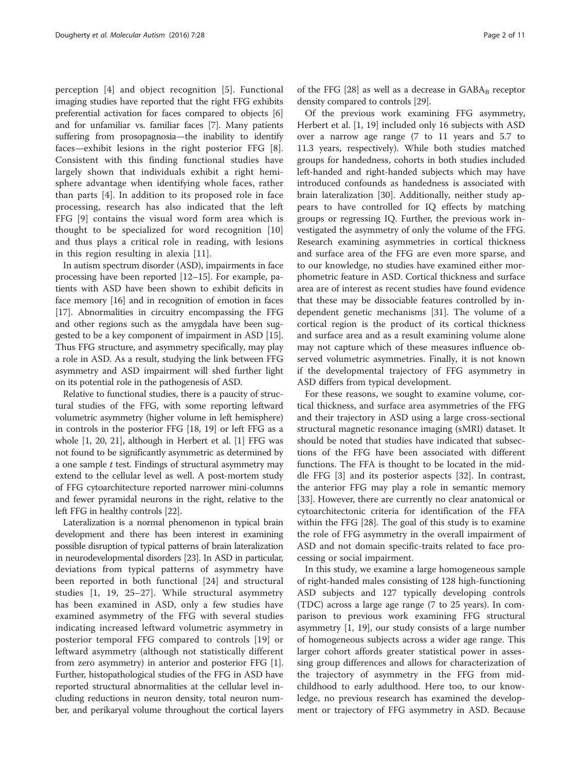perception [[4\]](#page-9-0) and object recognition [[5\]](#page-9-0). Functional imaging studies have reported that the right FFG exhibits preferential activation for faces compared to objects [[6](#page-9-0)] and for unfamiliar vs. familiar faces [\[7](#page-9-0)]. Many patients suffering from prosopagnosia—the inability to identify faces—exhibit lesions in the right posterior FFG [\[8](#page-9-0)]. Consistent with this finding functional studies have largely shown that individuals exhibit a right hemisphere advantage when identifying whole faces, rather than parts [\[4](#page-9-0)]. In addition to its proposed role in face processing, research has also indicated that the left FFG [\[9](#page-9-0)] contains the visual word form area which is thought to be specialized for word recognition [\[10](#page-9-0)] and thus plays a critical role in reading, with lesions in this region resulting in alexia [\[11](#page-9-0)].

In autism spectrum disorder (ASD), impairments in face processing have been reported [[12](#page-9-0)–[15\]](#page-9-0). For example, patients with ASD have been shown to exhibit deficits in face memory [\[16\]](#page-9-0) and in recognition of emotion in faces [[17](#page-9-0)]. Abnormalities in circuitry encompassing the FFG and other regions such as the amygdala have been suggested to be a key component of impairment in ASD [[15](#page-9-0)]. Thus FFG structure, and asymmetry specifically, may play a role in ASD. As a result, studying the link between FFG asymmetry and ASD impairment will shed further light on its potential role in the pathogenesis of ASD.

Relative to functional studies, there is a paucity of structural studies of the FFG, with some reporting leftward volumetric asymmetry (higher volume in left hemisphere) in controls in the posterior FFG [\[18, 19](#page-9-0)] or left FFG as a whole [\[1, 20](#page-9-0), [21\]](#page-9-0), although in Herbert et al. [\[1](#page-9-0)] FFG was not found to be significantly asymmetric as determined by a one sample t test. Findings of structural asymmetry may extend to the cellular level as well. A post-mortem study of FFG cytoarchitecture reported narrower mini-columns and fewer pyramidal neurons in the right, relative to the left FFG in healthy controls [[22](#page-9-0)].

Lateralization is a normal phenomenon in typical brain development and there has been interest in examining possible disruption of typical patterns of brain lateralization in neurodevelopmental disorders [[23\]](#page-9-0). In ASD in particular, deviations from typical patterns of asymmetry have been reported in both functional [[24](#page-9-0)] and structural studies [\[1](#page-9-0), [19](#page-9-0), [25](#page-9-0)–[27](#page-9-0)]. While structural asymmetry has been examined in ASD, only a few studies have examined asymmetry of the FFG with several studies indicating increased leftward volumetric asymmetry in posterior temporal FFG compared to controls [[19\]](#page-9-0) or leftward asymmetry (although not statistically different from zero asymmetry) in anterior and posterior FFG [[1](#page-9-0)]. Further, histopathological studies of the FFG in ASD have reported structural abnormalities at the cellular level including reductions in neuron density, total neuron number, and perikaryal volume throughout the cortical layers

of the FFG  $[28]$  $[28]$  $[28]$  as well as a decrease in  $GABA_B$  receptor density compared to controls [\[29\]](#page-9-0).

Of the previous work examining FFG asymmetry, Herbert et al. [\[1](#page-9-0), [19](#page-9-0)] included only 16 subjects with ASD over a narrow age range (7 to 11 years and 5.7 to 11.3 years, respectively). While both studies matched groups for handedness, cohorts in both studies included left-handed and right-handed subjects which may have introduced confounds as handedness is associated with brain lateralization [\[30](#page-9-0)]. Additionally, neither study appears to have controlled for IQ effects by matching groups or regressing IQ. Further, the previous work investigated the asymmetry of only the volume of the FFG. Research examining asymmetries in cortical thickness and surface area of the FFG are even more sparse, and to our knowledge, no studies have examined either morphometric feature in ASD. Cortical thickness and surface area are of interest as recent studies have found evidence that these may be dissociable features controlled by independent genetic mechanisms [\[31\]](#page-9-0). The volume of a cortical region is the product of its cortical thickness and surface area and as a result examining volume alone may not capture which of these measures influence observed volumetric asymmetries. Finally, it is not known if the developmental trajectory of FFG asymmetry in ASD differs from typical development.

For these reasons, we sought to examine volume, cortical thickness, and surface area asymmetries of the FFG and their trajectory in ASD using a large cross-sectional structural magnetic resonance imaging (sMRI) dataset. It should be noted that studies have indicated that subsections of the FFG have been associated with different functions. The FFA is thought to be located in the middle FFG [\[3](#page-9-0)] and its posterior aspects [\[32](#page-9-0)]. In contrast, the anterior FFG may play a role in semantic memory [[33\]](#page-9-0). However, there are currently no clear anatomical or cytoarchitectonic criteria for identification of the FFA within the FFG [\[28\]](#page-9-0). The goal of this study is to examine the role of FFG asymmetry in the overall impairment of ASD and not domain specific-traits related to face processing or social impairment.

In this study, we examine a large homogeneous sample of right-handed males consisting of 128 high-functioning ASD subjects and 127 typically developing controls (TDC) across a large age range (7 to 25 years). In comparison to previous work examining FFG structural asymmetry [\[1, 19](#page-9-0)], our study consists of a large number of homogeneous subjects across a wider age range. This larger cohort affords greater statistical power in assessing group differences and allows for characterization of the trajectory of asymmetry in the FFG from midchildhood to early adulthood. Here too, to our knowledge, no previous research has examined the development or trajectory of FFG asymmetry in ASD. Because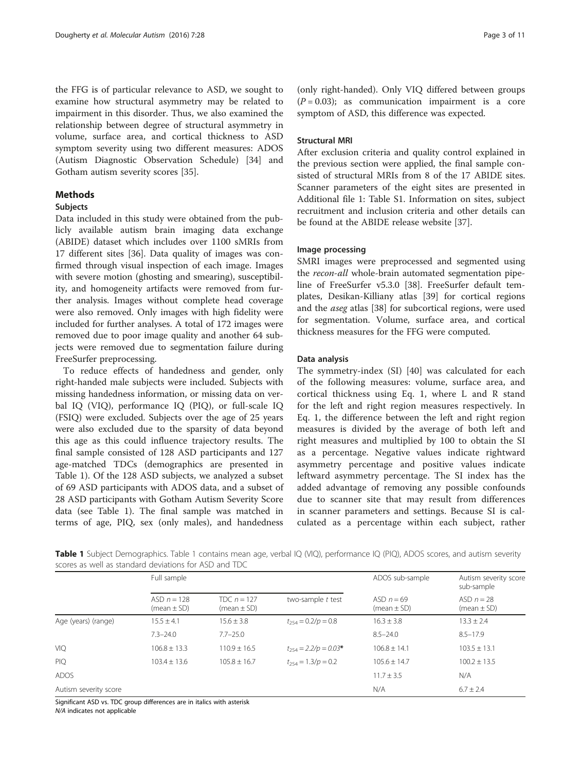<span id="page-2-0"></span>the FFG is of particular relevance to ASD, we sought to examine how structural asymmetry may be related to impairment in this disorder. Thus, we also examined the relationship between degree of structural asymmetry in volume, surface area, and cortical thickness to ASD symptom severity using two different measures: ADOS (Autism Diagnostic Observation Schedule) [\[34](#page-9-0)] and Gotham autism severity scores [[35](#page-9-0)].

## Methods

## Subjects

Data included in this study were obtained from the publicly available autism brain imaging data exchange (ABIDE) dataset which includes over 1100 sMRIs from 17 different sites [\[36](#page-9-0)]. Data quality of images was confirmed through visual inspection of each image. Images with severe motion (ghosting and smearing), susceptibility, and homogeneity artifacts were removed from further analysis. Images without complete head coverage were also removed. Only images with high fidelity were included for further analyses. A total of 172 images were removed due to poor image quality and another 64 subjects were removed due to segmentation failure during FreeSurfer preprocessing.

To reduce effects of handedness and gender, only right-handed male subjects were included. Subjects with missing handedness information, or missing data on verbal IQ (VIQ), performance IQ (PIQ), or full-scale IQ (FSIQ) were excluded. Subjects over the age of 25 years were also excluded due to the sparsity of data beyond this age as this could influence trajectory results. The final sample consisted of 128 ASD participants and 127 age-matched TDCs (demographics are presented in Table 1). Of the 128 ASD subjects, we analyzed a subset of 69 ASD participants with ADOS data, and a subset of 28 ASD participants with Gotham Autism Severity Score data (see Table 1). The final sample was matched in terms of age, PIQ, sex (only males), and handedness

# Structural MRI

After exclusion criteria and quality control explained in the previous section were applied, the final sample consisted of structural MRIs from 8 of the 17 ABIDE sites. Scanner parameters of the eight sites are presented in Additional file [1](#page-8-0): Table S1. Information on sites, subject recruitment and inclusion criteria and other details can be found at the ABIDE release website [\[37\]](#page-9-0).

 $(P = 0.03)$ ; as communication impairment is a core

symptom of ASD, this difference was expected.

#### Image processing

SMRI images were preprocessed and segmented using the *recon-all* whole-brain automated segmentation pipeline of FreeSurfer v5.3.0 [[38\]](#page-9-0). FreeSurfer default templates, Desikan-Killiany atlas [[39\]](#page-9-0) for cortical regions and the aseg atlas [[38\]](#page-9-0) for subcortical regions, were used for segmentation. Volume, surface area, and cortical thickness measures for the FFG were computed.

#### Data analysis

The symmetry-index (SI) [[40\]](#page-9-0) was calculated for each of the following measures: volume, surface area, and cortical thickness using Eq. [1,](#page-3-0) where L and R stand for the left and right region measures respectively. In Eq. [1,](#page-3-0) the difference between the left and right region measures is divided by the average of both left and right measures and multiplied by 100 to obtain the SI as a percentage. Negative values indicate rightward asymmetry percentage and positive values indicate leftward asymmetry percentage. The SI index has the added advantage of removing any possible confounds due to scanner site that may result from differences in scanner parameters and settings. Because SI is calculated as a percentage within each subject, rather

|                       | Full sample                      |                                  |                           | ADOS sub-sample                 | Autism severity score<br>sub-sample |
|-----------------------|----------------------------------|----------------------------------|---------------------------|---------------------------------|-------------------------------------|
|                       | $ASD n = 128$<br>(mean $\pm$ SD) | TDC $n = 127$<br>$(mean \pm SD)$ | two-sample t test         | ASD $n = 69$<br>(mean $\pm$ SD) | ASD $n = 28$<br>(mean $\pm$ SD)     |
| Age (years) (range)   | $15.5 \pm 4.1$                   | $15.6 \pm 3.8$                   | $t_{254} = 0.2/p = 0.8$   | $16.3 \pm 3.8$                  | $13.3 \pm 2.4$                      |
|                       | $7.3 - 24.0$                     | $7.7 - 25.0$                     |                           | $8.5 - 24.0$                    | $8.5 - 17.9$                        |
| VIQ                   | $106.8 \pm 13.3$                 | $110.9 + 16.5$                   | $t_{254} = 2.2/p = 0.03*$ | $106.8 \pm 14.1$                | $103.5 \pm 13.1$                    |
| PIO                   | $103.4 \pm 13.6$                 | $105.8 \pm 16.7$                 | $t_{254} = 1.3/p = 0.2$   | $105.6 \pm 14.7$                | $100.2 \pm 13.5$                    |
| <b>ADOS</b>           |                                  |                                  |                           | $11.7 \pm 3.5$                  | N/A                                 |
| Autism severity score |                                  |                                  |                           | N/A                             | $6.7 \pm 2.4$                       |

Table 1 Subject Demographics. Table 1 contains mean age, verbal IQ (VIQ), performance IQ (PIQ), ADOS scores, and autism severity scores as well as standard deviations for ASD and TDC

Significant ASD vs. TDC group differences are in italics with asterisk

N/A indicates not applicable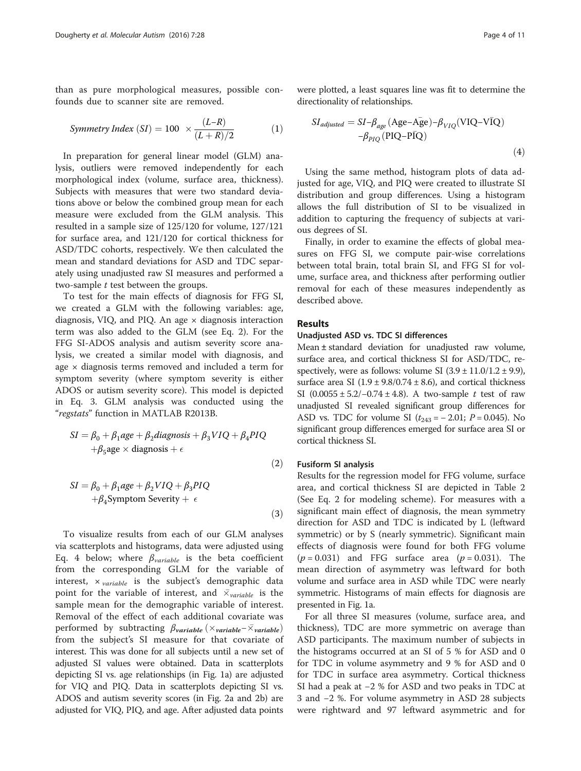<span id="page-3-0"></span>than as pure morphological measures, possible confounds due to scanner site are removed.

$$
Symmetry Index (SI) = 100 \times \frac{(L-R)}{(L+R)/2}
$$
 (1)

In preparation for general linear model (GLM) analysis, outliers were removed independently for each morphological index (volume, surface area, thickness). Subjects with measures that were two standard deviations above or below the combined group mean for each measure were excluded from the GLM analysis. This resulted in a sample size of 125/120 for volume, 127/121 for surface area, and 121/120 for cortical thickness for ASD/TDC cohorts, respectively. We then calculated the mean and standard deviations for ASD and TDC separately using unadjusted raw SI measures and performed a two-sample  $t$  test between the groups.

To test for the main effects of diagnosis for FFG SI, we created a GLM with the following variables: age, diagnosis, VIQ, and PIQ. An age  $\times$  diagnosis interaction term was also added to the GLM (see Eq. 2). For the FFG SI-ADOS analysis and autism severity score analysis, we created a similar model with diagnosis, and age  $\times$  diagnosis terms removed and included a term for symptom severity (where symptom severity is either ADOS or autism severity score). This model is depicted in Eq. 3. GLM analysis was conducted using the "regstats" function in MATLAB R2013B.

$$
SI = \beta_0 + \beta_1 age + \beta_2 diagnosis + \beta_3 VIQ + \beta_4 PIQ
$$
  
+  $\beta_5 age \times diagnosis + \epsilon$ 

$$
SI = \beta_0 + \beta_1 age + \beta_2 VIQ + \beta_3 PIQ
$$
  
+  $\beta_4$ Symptom Severity +  $\epsilon$  (3)

To visualize results from each of our GLM analyses via scatterplots and histograms, data were adjusted using Eq. 4 below; where  $\beta_{variable}$  is the beta coefficient from the corresponding GLM for the variable of interest,  $\times_{variable}$  is the subject's demographic data point for the variable of interest, and  $\bar{x}_{variable}$  is the sample mean for the demographic variable of interest. Removal of the effect of each additional covariate was performed by subtracting  $\beta_{variable}(\times_{variable} - \bar{\times}_{variable})$ from the subject's SI measure for that covariate of interest. This was done for all subjects until a new set of adjusted SI values were obtained. Data in scatterplots depicting SI vs. age relationships (in Fig. [1a\)](#page-4-0) are adjusted for VIQ and PIQ. Data in scatterplots depicting SI vs. ADOS and autism severity scores (in Fig. [2a](#page-5-0) and [2b\)](#page-5-0) are adjusted for VIQ, PIQ, and age. After adjusted data points were plotted, a least squares line was fit to determine the directionality of relationships.

$$
SI_{adjusted} = SI - \beta_{age} (Age - \overline{Age}) - \beta_{VIQ} (VIQ - V\overline{I}Q)
$$

$$
-\beta_{PIQ} (PIQ - P\overline{I}Q)
$$
(4)

Using the same method, histogram plots of data adjusted for age, VIQ, and PIQ were created to illustrate SI distribution and group differences. Using a histogram allows the full distribution of SI to be visualized in addition to capturing the frequency of subjects at various degrees of SI.

Finally, in order to examine the effects of global measures on FFG SI, we compute pair-wise correlations between total brain, total brain SI, and FFG SI for volume, surface area, and thickness after performing outlier removal for each of these measures independently as described above.

## Results

#### Unadjusted ASD vs. TDC SI differences

Mean ± standard deviation for unadjusted raw volume, surface area, and cortical thickness SI for ASD/TDC, respectively, were as follows: volume SI  $(3.9 \pm 11.0/1.2 \pm 9.9)$ , surface area SI  $(1.9 \pm 9.8/0.74 \pm 8.6)$ , and cortical thickness SI  $(0.0055 \pm 5.2/-0.74 \pm 4.8)$ . A two-sample t test of raw unadjusted SI revealed significant group differences for ASD vs. TDC for volume SI  $(t_{243} = -2.01; P = 0.045)$ . No significant group differences emerged for surface area SI or cortical thickness SI.

#### Fusiform SI analysis

 $(2)$ 

Results for the regression model for FFG volume, surface area, and cortical thickness SI are depicted in Table [2](#page-5-0) (See Eq. 2 for modeling scheme). For measures with a significant main effect of diagnosis, the mean symmetry direction for ASD and TDC is indicated by L (leftward symmetric) or by S (nearly symmetric). Significant main effects of diagnosis were found for both FFG volume  $(p = 0.031)$  and FFG surface area  $(p = 0.031)$ . The mean direction of asymmetry was leftward for both volume and surface area in ASD while TDC were nearly symmetric. Histograms of main effects for diagnosis are presented in Fig. [1a.](#page-4-0)

For all three SI measures (volume, surface area, and thickness), TDC are more symmetric on average than ASD participants. The maximum number of subjects in the histograms occurred at an SI of 5 % for ASD and 0 for TDC in volume asymmetry and 9 % for ASD and 0 for TDC in surface area asymmetry. Cortical thickness SI had a peak at −2 % for ASD and two peaks in TDC at 3 and −2 %. For volume asymmetry in ASD 28 subjects were rightward and 97 leftward asymmetric and for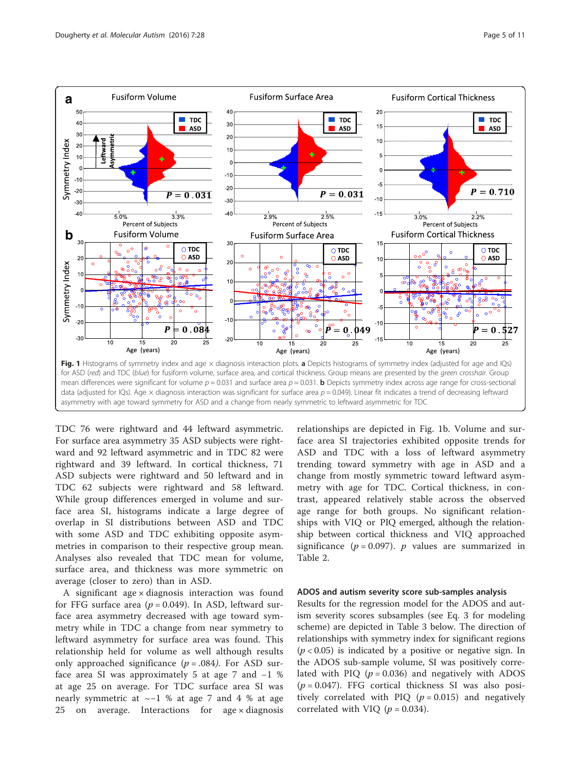<span id="page-4-0"></span>

TDC 76 were rightward and 44 leftward asymmetric. For surface area asymmetry 35 ASD subjects were rightward and 92 leftward asymmetric and in TDC 82 were rightward and 39 leftward. In cortical thickness, 71 ASD subjects were rightward and 50 leftward and in TDC 62 subjects were rightward and 58 leftward. While group differences emerged in volume and surface area SI, histograms indicate a large degree of overlap in SI distributions between ASD and TDC with some ASD and TDC exhibiting opposite asymmetries in comparison to their respective group mean. Analyses also revealed that TDC mean for volume, surface area, and thickness was more symmetric on average (closer to zero) than in ASD.

A significant age × diagnosis interaction was found for FFG surface area ( $p = 0.049$ ). In ASD, leftward surface area asymmetry decreased with age toward symmetry while in TDC a change from near symmetry to leftward asymmetry for surface area was found. This relationship held for volume as well although results only approached significance ( $p = .084$ ). For ASD surface area SI was approximately 5 at age 7 and −1 % at age 25 on average. For TDC surface area SI was nearly symmetric at ~−1 % at age 7 and 4 % at age 25 on average. Interactions for age  $\times$  diagnosis

relationships are depicted in Fig. 1b. Volume and surface area SI trajectories exhibited opposite trends for ASD and TDC with a loss of leftward asymmetry trending toward symmetry with age in ASD and a change from mostly symmetric toward leftward asymmetry with age for TDC. Cortical thickness, in contrast, appeared relatively stable across the observed age range for both groups. No significant relationships with VIQ or PIQ emerged, although the relationship between cortical thickness and VIQ approached significance ( $p = 0.097$ ). p values are summarized in Table [2.](#page-5-0)

## ADOS and autism severity score sub-samples analysis

Results for the regression model for the ADOS and autism severity scores subsamples (see Eq. [3](#page-3-0) for modeling scheme) are depicted in Table [3](#page-6-0) below. The direction of relationships with symmetry index for significant regions  $(p < 0.05)$  is indicated by a positive or negative sign. In the ADOS sub-sample volume, SI was positively correlated with PIQ  $(p = 0.036)$  and negatively with ADOS  $(p = 0.047)$ . FFG cortical thickness SI was also positively correlated with PIQ  $(p = 0.015)$  and negatively correlated with VIO  $(p = 0.034)$ .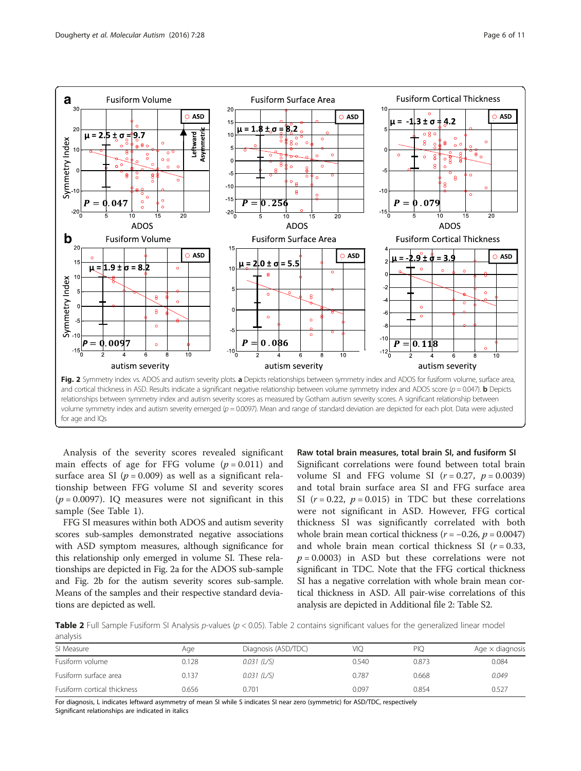<span id="page-5-0"></span>

Analysis of the severity scores revealed significant main effects of age for FFG volume  $(p = 0.011)$  and surface area SI ( $p = 0.009$ ) as well as a significant relationship between FFG volume SI and severity scores  $(p = 0.0097)$ . IQ measures were not significant in this sample (See Table [1\)](#page-2-0).

FFG SI measures within both ADOS and autism severity scores sub-samples demonstrated negative associations with ASD symptom measures, although significance for this relationship only emerged in volume SI. These relationships are depicted in Fig. 2a for the ADOS sub-sample and Fig. 2b for the autism severity scores sub-sample. Means of the samples and their respective standard deviations are depicted as well.

Raw total brain measures, total brain SI, and fusiform SI Significant correlations were found between total brain volume SI and FFG volume SI  $(r = 0.27, p = 0.0039)$ and total brain surface area SI and FFG surface area SI  $(r = 0.22, p = 0.015)$  in TDC but these correlations were not significant in ASD. However, FFG cortical thickness SI was significantly correlated with both whole brain mean cortical thickness ( $r = -0.26$ ,  $p = 0.0047$ ) and whole brain mean cortical thickness SI  $(r = 0.33,$  $p = 0.0003$ ) in ASD but these correlations were not significant in TDC. Note that the FFG cortical thickness SI has a negative correlation with whole brain mean cortical thickness in ASD. All pair-wise correlations of this analysis are depicted in Additional file [2](#page-8-0): Table S2.

**Table 2** Full Sample Fusiform SI Analysis p-values ( $p < 0.05$ ). Table 2 contains significant values for the generalized linear model analysis

| SI Measure                  | Aqe   | Diagnosis (ASD/TDC) | VIO   | PIO   | Age $\times$ diagnosis |
|-----------------------------|-------|---------------------|-------|-------|------------------------|
| Fusiform volume             | 0.128 | $0.031$ (L/S)       | 0.540 | 0.873 | 0.084                  |
| Fusiform surface area       | 0.137 | $0.031$ (L/S)       | 0.787 | 0.668 | 0.049                  |
| Fusiform cortical thickness | 0.656 | 0.701               | 0.097 | 0.854 | 0.527                  |

For diagnosis, L indicates leftward asymmetry of mean SI while S indicates SI near zero (symmetric) for ASD/TDC, respectively Significant relationships are indicated in italics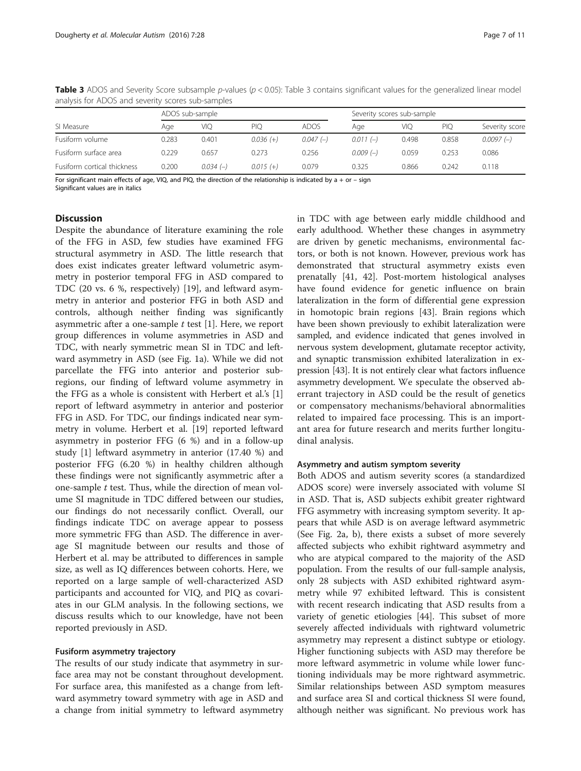|                             | ADOS sub-sample |            |            |             |            | Severity scores sub-sample |       |                |  |
|-----------------------------|-----------------|------------|------------|-------------|------------|----------------------------|-------|----------------|--|
| SI Measure                  | Age             | VIO        | PIO        | <b>ADOS</b> | Age        | <b>VIO</b>                 | PIO   | Severity score |  |
| Fusiform volume             | 0.283           | 0.401      | $0.036(+)$ | $0.047(-)$  | $0.011(-)$ | 0.498                      | 0.858 | $0.0097(-)$    |  |
| Fusiform surface area       | 0.229           | 0.657      | 0.273      | 0.256       | $0.009(-)$ | 0.059                      | 0.253 | 0.086          |  |
| Fusiform cortical thickness | 0.200           | $0.034(-)$ | $0.015(+)$ | 0.079       | 0.325      | 0.866                      | 0.242 | 0.118          |  |

<span id="page-6-0"></span>**Table 3** ADOS and Severity Score subsample  $p$ -values ( $p < 0.05$ ): Table 3 contains significant values for the generalized linear model analysis for ADOS and severity scores sub-samples

For significant main effects of age, VIQ, and PIQ, the direction of the relationship is indicated by  $a + or - sign$ Significant values are in italics

## **Discussion**

Despite the abundance of literature examining the role of the FFG in ASD, few studies have examined FFG structural asymmetry in ASD. The little research that does exist indicates greater leftward volumetric asymmetry in posterior temporal FFG in ASD compared to TDC (20 vs. 6 %, respectively) [\[19](#page-9-0)], and leftward asymmetry in anterior and posterior FFG in both ASD and controls, although neither finding was significantly asymmetric after a one-sample  $t$  test [[1\]](#page-9-0). Here, we report group differences in volume asymmetries in ASD and TDC, with nearly symmetric mean SI in TDC and leftward asymmetry in ASD (see Fig. [1a\)](#page-4-0). While we did not parcellate the FFG into anterior and posterior subregions, our finding of leftward volume asymmetry in the FFG as a whole is consistent with Herbert et al.'s [\[1](#page-9-0)] report of leftward asymmetry in anterior and posterior FFG in ASD. For TDC, our findings indicated near symmetry in volume. Herbert et al. [\[19](#page-9-0)] reported leftward asymmetry in posterior FFG (6 %) and in a follow-up study [[1\]](#page-9-0) leftward asymmetry in anterior (17.40 %) and posterior FFG (6.20 %) in healthy children although these findings were not significantly asymmetric after a one-sample  $t$  test. Thus, while the direction of mean volume SI magnitude in TDC differed between our studies, our findings do not necessarily conflict. Overall, our findings indicate TDC on average appear to possess more symmetric FFG than ASD. The difference in average SI magnitude between our results and those of Herbert et al. may be attributed to differences in sample size, as well as IQ differences between cohorts. Here, we reported on a large sample of well-characterized ASD participants and accounted for VIQ, and PIQ as covariates in our GLM analysis. In the following sections, we discuss results which to our knowledge, have not been reported previously in ASD.

#### Fusiform asymmetry trajectory

The results of our study indicate that asymmetry in surface area may not be constant throughout development. For surface area, this manifested as a change from leftward asymmetry toward symmetry with age in ASD and a change from initial symmetry to leftward asymmetry in TDC with age between early middle childhood and early adulthood. Whether these changes in asymmetry are driven by genetic mechanisms, environmental factors, or both is not known. However, previous work has demonstrated that structural asymmetry exists even prenatally [\[41, 42\]](#page-9-0). Post-mortem histological analyses have found evidence for genetic influence on brain lateralization in the form of differential gene expression in homotopic brain regions [[43\]](#page-10-0). Brain regions which have been shown previously to exhibit lateralization were sampled, and evidence indicated that genes involved in nervous system development, glutamate receptor activity, and synaptic transmission exhibited lateralization in expression [[43](#page-10-0)]. It is not entirely clear what factors influence asymmetry development. We speculate the observed aberrant trajectory in ASD could be the result of genetics or compensatory mechanisms/behavioral abnormalities related to impaired face processing. This is an important area for future research and merits further longitudinal analysis.

#### Asymmetry and autism symptom severity

Both ADOS and autism severity scores (a standardized ADOS score) were inversely associated with volume SI in ASD. That is, ASD subjects exhibit greater rightward FFG asymmetry with increasing symptom severity. It appears that while ASD is on average leftward asymmetric (See Fig. [2a, b\)](#page-5-0), there exists a subset of more severely affected subjects who exhibit rightward asymmetry and who are atypical compared to the majority of the ASD population. From the results of our full-sample analysis, only 28 subjects with ASD exhibited rightward asymmetry while 97 exhibited leftward. This is consistent with recent research indicating that ASD results from a variety of genetic etiologies [\[44](#page-10-0)]. This subset of more severely affected individuals with rightward volumetric asymmetry may represent a distinct subtype or etiology. Higher functioning subjects with ASD may therefore be more leftward asymmetric in volume while lower functioning individuals may be more rightward asymmetric. Similar relationships between ASD symptom measures and surface area SI and cortical thickness SI were found, although neither was significant. No previous work has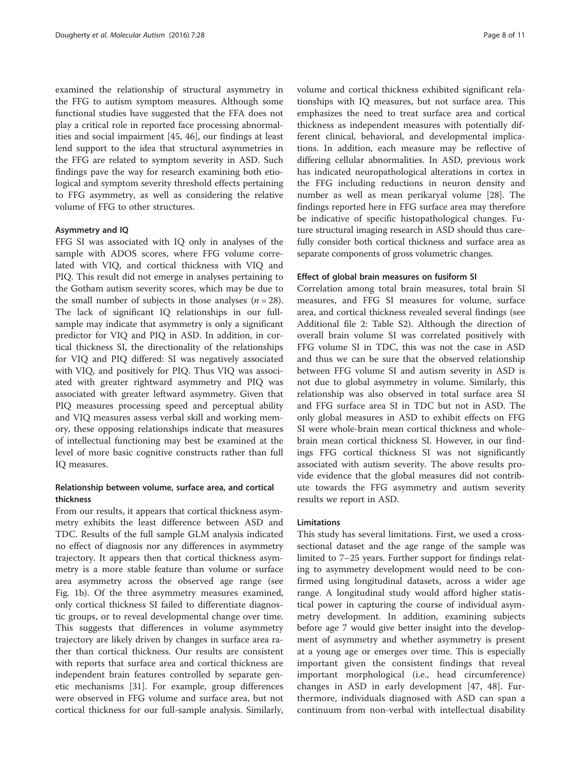examined the relationship of structural asymmetry in the FFG to autism symptom measures. Although some functional studies have suggested that the FFA does not play a critical role in reported face processing abnormalities and social impairment [[45, 46\]](#page-10-0), our findings at least lend support to the idea that structural asymmetries in the FFG are related to symptom severity in ASD. Such findings pave the way for research examining both etiological and symptom severity threshold effects pertaining to FFG asymmetry, as well as considering the relative volume of FFG to other structures.

#### Asymmetry and IQ

FFG SI was associated with IQ only in analyses of the sample with ADOS scores, where FFG volume correlated with VIQ, and cortical thickness with VIQ and PIQ. This result did not emerge in analyses pertaining to the Gotham autism severity scores, which may be due to the small number of subjects in those analyses  $(n = 28)$ . The lack of significant IQ relationships in our fullsample may indicate that asymmetry is only a significant predictor for VIQ and PIQ in ASD. In addition, in cortical thickness SI, the directionality of the relationships for VIQ and PIQ differed: SI was negatively associated with VIQ, and positively for PIQ. Thus VIQ was associated with greater rightward asymmetry and PIQ was associated with greater leftward asymmetry. Given that PIQ measures processing speed and perceptual ability and VIQ measures assess verbal skill and working memory, these opposing relationships indicate that measures of intellectual functioning may best be examined at the level of more basic cognitive constructs rather than full IQ measures.

## Relationship between volume, surface area, and cortical thickness

From our results, it appears that cortical thickness asymmetry exhibits the least difference between ASD and TDC. Results of the full sample GLM analysis indicated no effect of diagnosis nor any differences in asymmetry trajectory. It appears then that cortical thickness asymmetry is a more stable feature than volume or surface area asymmetry across the observed age range (see Fig. [1b](#page-4-0)). Of the three asymmetry measures examined, only cortical thickness SI failed to differentiate diagnostic groups, or to reveal developmental change over time. This suggests that differences in volume asymmetry trajectory are likely driven by changes in surface area rather than cortical thickness. Our results are consistent with reports that surface area and cortical thickness are independent brain features controlled by separate genetic mechanisms [[31\]](#page-9-0). For example, group differences were observed in FFG volume and surface area, but not cortical thickness for our full-sample analysis. Similarly, volume and cortical thickness exhibited significant relationships with IQ measures, but not surface area. This emphasizes the need to treat surface area and cortical thickness as independent measures with potentially different clinical, behavioral, and developmental implications. In addition, each measure may be reflective of differing cellular abnormalities. In ASD, previous work has indicated neuropathological alterations in cortex in the FFG including reductions in neuron density and number as well as mean perikaryal volume [\[28\]](#page-9-0). The findings reported here in FFG surface area may therefore be indicative of specific histopathological changes. Future structural imaging research in ASD should thus carefully consider both cortical thickness and surface area as separate components of gross volumetric changes.

#### Effect of global brain measures on fusiform SI

Correlation among total brain measures, total brain SI measures, and FFG SI measures for volume, surface area, and cortical thickness revealed several findings (see Additional file [2:](#page-8-0) Table S2). Although the direction of overall brain volume SI was correlated positively with FFG volume SI in TDC, this was not the case in ASD and thus we can be sure that the observed relationship between FFG volume SI and autism severity in ASD is not due to global asymmetry in volume. Similarly, this relationship was also observed in total surface area SI and FFG surface area SI in TDC but not in ASD. The only global measures in ASD to exhibit effects on FFG SI were whole-brain mean cortical thickness and wholebrain mean cortical thickness SI. However, in our findings FFG cortical thickness SI was not significantly associated with autism severity. The above results provide evidence that the global measures did not contribute towards the FFG asymmetry and autism severity results we report in ASD.

#### Limitations

This study has several limitations. First, we used a crosssectional dataset and the age range of the sample was limited to 7–25 years. Further support for findings relating to asymmetry development would need to be confirmed using longitudinal datasets, across a wider age range. A longitudinal study would afford higher statistical power in capturing the course of individual asymmetry development. In addition, examining subjects before age 7 would give better insight into the development of asymmetry and whether asymmetry is present at a young age or emerges over time. This is especially important given the consistent findings that reveal important morphological (i.e., head circumference) changes in ASD in early development [\[47](#page-10-0), [48\]](#page-10-0). Furthermore, individuals diagnosed with ASD can span a continuum from non-verbal with intellectual disability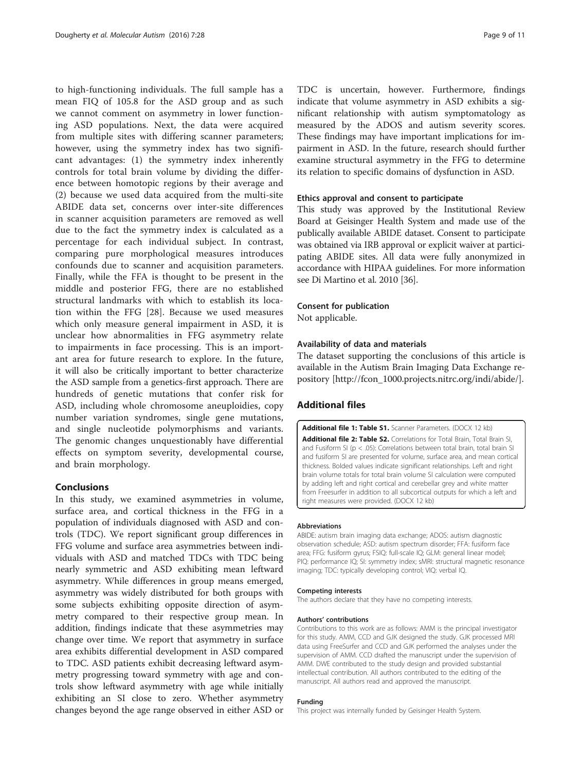<span id="page-8-0"></span>to high-functioning individuals. The full sample has a mean FIQ of 105.8 for the ASD group and as such we cannot comment on asymmetry in lower functioning ASD populations. Next, the data were acquired from multiple sites with differing scanner parameters; however, using the symmetry index has two significant advantages: (1) the symmetry index inherently controls for total brain volume by dividing the difference between homotopic regions by their average and (2) because we used data acquired from the multi-site ABIDE data set, concerns over inter-site differences in scanner acquisition parameters are removed as well due to the fact the symmetry index is calculated as a percentage for each individual subject. In contrast, comparing pure morphological measures introduces confounds due to scanner and acquisition parameters. Finally, while the FFA is thought to be present in the middle and posterior FFG, there are no established structural landmarks with which to establish its location within the FFG [\[28](#page-9-0)]. Because we used measures which only measure general impairment in ASD, it is unclear how abnormalities in FFG asymmetry relate to impairments in face processing. This is an important area for future research to explore. In the future, it will also be critically important to better characterize the ASD sample from a genetics-first approach. There are hundreds of genetic mutations that confer risk for ASD, including whole chromosome aneuploidies, copy number variation syndromes, single gene mutations, and single nucleotide polymorphisms and variants. The genomic changes unquestionably have differential effects on symptom severity, developmental course, and brain morphology.

#### Conclusions

In this study, we examined asymmetries in volume, surface area, and cortical thickness in the FFG in a population of individuals diagnosed with ASD and controls (TDC). We report significant group differences in FFG volume and surface area asymmetries between individuals with ASD and matched TDCs with TDC being nearly symmetric and ASD exhibiting mean leftward asymmetry. While differences in group means emerged, asymmetry was widely distributed for both groups with some subjects exhibiting opposite direction of asymmetry compared to their respective group mean. In addition, findings indicate that these asymmetries may change over time. We report that asymmetry in surface area exhibits differential development in ASD compared to TDC. ASD patients exhibit decreasing leftward asymmetry progressing toward symmetry with age and controls show leftward asymmetry with age while initially exhibiting an SI close to zero. Whether asymmetry changes beyond the age range observed in either ASD or

TDC is uncertain, however. Furthermore, findings indicate that volume asymmetry in ASD exhibits a significant relationship with autism symptomatology as measured by the ADOS and autism severity scores. These findings may have important implications for impairment in ASD. In the future, research should further examine structural asymmetry in the FFG to determine its relation to specific domains of dysfunction in ASD.

#### Ethics approval and consent to participate

This study was approved by the Institutional Review Board at Geisinger Health System and made use of the publically available ABIDE dataset. Consent to participate was obtained via IRB approval or explicit waiver at participating ABIDE sites. All data were fully anonymized in accordance with HIPAA guidelines. For more information see Di Martino et al. 2010 [[36](#page-9-0)].

## Consent for publication

Not applicable.

## Availability of data and materials

The dataset supporting the conclusions of this article is available in the Autism Brain Imaging Data Exchange repository [http://fcon\_1000.projects.nitrc.org/indi/abide/].

## Additional files

[Additional file 1: Table S1.](dx.doi.org/10.1186/s13229-016-0089-5) Scanner Parameters. (DOCX 12 kb) [Additional file 2: Table S2.](dx.doi.org/10.1186/s13229-016-0089-5) Correlations for Total Brain, Total Brain SI, and Fusiform SI ( $p < .05$ ): Correlations between total brain, total brain SI and fusiform SI are presented for volume, surface area, and mean cortical thickness. Bolded values indicate significant relationships. Left and right brain volume totals for total brain volume SI calculation were computed by adding left and right cortical and cerebellar grey and white matter from Freesurfer in addition to all subcortical outputs for which a left and right measures were provided. (DOCX 12 kb)

#### Abbreviations

ABIDE: autism brain imaging data exchange; ADOS: autism diagnostic observation schedule; ASD: autism spectrum disorder; FFA: fusiform face area; FFG: fusiform gyrus; FSIQ: full-scale IQ; GLM: general linear model; PIQ: performance IQ; SI: symmetry index; sMRI: structural magnetic resonance imaging; TDC: typically developing control; VIQ: verbal IQ.

#### Competing interests

The authors declare that they have no competing interests.

#### Authors' contributions

Contributions to this work are as follows: AMM is the principal investigator for this study. AMM, CCD and GJK designed the study. GJK processed MRI data using FreeSurfer and CCD and GJK performed the analyses under the supervision of AMM. CCD drafted the manuscript under the supervision of AMM. DWE contributed to the study design and provided substantial intellectual contribution. All authors contributed to the editing of the manuscript. All authors read and approved the manuscript.

#### Funding

This project was internally funded by Geisinger Health System.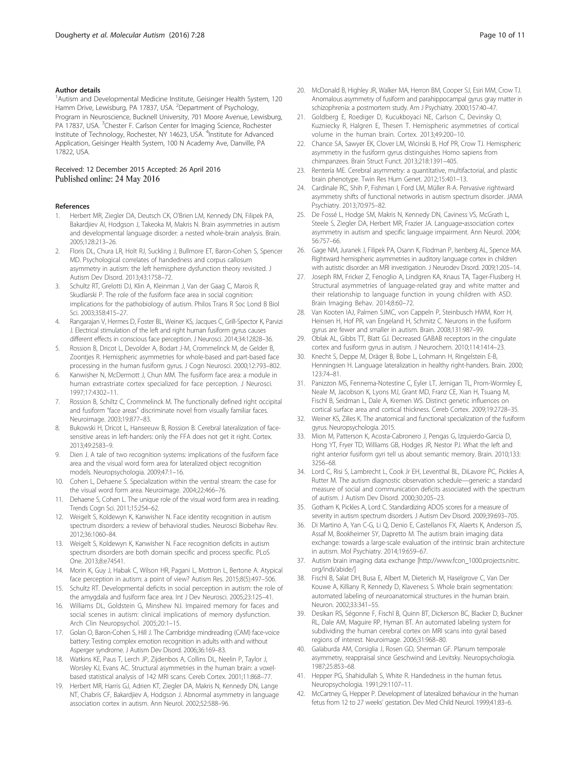#### <span id="page-9-0"></span>Author details

<sup>1</sup> Autism and Developmental Medicine Institute, Geisinger Health System, 120 Hamm Drive, Lewisburg, PA 17837, USA. <sup>2</sup>Department of Psychology, Program in Neuroscience, Bucknell University, 701 Moore Avenue, Lewisburg, PA 17837, USA. <sup>3</sup>Chester F. Carlson Center for Imaging Science, Rochester Institute of Technology, Rochester, NY 14623, USA. <sup>4</sup>Institute for Advanced Application, Geisinger Health System, 100 N Academy Ave, Danville, PA 17822, USA.

#### Received: 12 December 2015 Accepted: 26 April 2016 Published online: 24 May 2016

#### References

- 1. Herbert MR, Ziegler DA, Deutsch CK, O'Brien LM, Kennedy DN, Filipek PA, Bakardjiev AI, Hodgson J, Takeoka M, Makris N. Brain asymmetries in autism and developmental language disorder: a nested whole-brain analysis. Brain. 2005;128:213–26.
- 2. Floris DL, Chura LR, Holt RJ, Suckling J, Bullmore ET, Baron-Cohen S, Spencer MD. Psychological correlates of handedness and corpus callosum asymmetry in autism: the left hemisphere dysfunction theory revisited. J Autism Dev Disord. 2013;43:1758–72.
- 3. Schultz RT, Grelotti DJ, Klin A, Kleinman J, Van der Gaag C, Marois R, Skudlarski P. The role of the fusiform face area in social cognition: implications for the pathobiology of autism. Philos Trans R Soc Lond B Biol Sci. 2003;358:415–27.
- 4. Rangarajan V, Hermes D, Foster BL, Weiner KS, Jacques C, Grill-Spector K, Parvizi J. Electrical stimulation of the left and right human fusiform gyrus causes different effects in conscious face perception. J Neurosci. 2014;34:12828–36.
- Rossion B, Dricot L, Devolder A, Bodart J-M, Crommelinck M, de Gelder B, Zoontjes R. Hemispheric asymmetries for whole-based and part-based face processing in the human fusiform gyrus. J Cogn Neurosci. 2000;12:793–802.
- Kanwisher N, McDermott J, Chun MM. The fusiform face area: a module in human extrastriate cortex specialized for face perception. J Neurosci. 1997;17:4302–11.
- 7. Rossion B, Schiltz C, Crommelinck M. The functionally defined right occipital and fusiform "face areas" discriminate novel from visually familiar faces. Neuroimage. 2003;19:877–83.
- 8. Bukowski H, Dricot L, Hanseeuw B, Rossion B. Cerebral lateralization of facesensitive areas in left-handers: only the FFA does not get it right. Cortex. 2013;49:2583–9.
- 9. Dien J. A tale of two recognition systems: implications of the fusiform face area and the visual word form area for lateralized object recognition models. Neuropsychologia. 2009;47:1–16.
- 10. Cohen L, Dehaene S. Specialization within the ventral stream: the case for the visual word form area. Neuroimage. 2004;22:466–76.
- 11. Dehaene S, Cohen L. The unique role of the visual word form area in reading. Trends Cogn Sci. 2011;15:254–62.
- 12. Weigelt S, Koldewyn K, Kanwisher N. Face identity recognition in autism spectrum disorders: a review of behavioral studies. Neurosci Biobehav Rev. 2012;36:1060–84.
- 13. Weigelt S, Koldewyn K, Kanwisher N. Face recognition deficits in autism spectrum disorders are both domain specific and process specific. PLoS One. 2013;8:e74541.
- 14. Morin K, Guy J, Habak C, Wilson HR, Pagani L, Mottron L, Bertone A. Atypical face perception in autism: a point of view? Autism Res. 2015;8(5):497–506.
- 15. Schultz RT. Developmental deficits in social perception in autism: the role of the amygdala and fusiform face area. Int J Dev Neurosci. 2005;23:125–41.
- 16. Williams DL, Goldstein G, Minshew NJ. Impaired memory for faces and social scenes in autism: clinical implications of memory dysfunction. Arch Clin Neuropsychol. 2005;20:1–15.
- 17. Golan O, Baron-Cohen S, Hill J. The Cambridge mindreading (CAM) face-voice battery: Testing complex emotion recognition in adults with and without Asperger syndrome. J Autism Dev Disord. 2006;36:169–83.
- 18. Watkins KE, Paus T, Lerch JP, Zijdenbos A, Collins DL, Neelin P, Taylor J, Worsley KJ, Evans AC. Structural asymmetries in the human brain: a voxelbased statistical analysis of 142 MRI scans. Cereb Cortex. 2001;11:868–77.
- 19. Herbert MR, Harris GJ, Adrien KT, Ziegler DA, Makris N, Kennedy DN, Lange NT, Chabris CF, Bakardjiev A, Hodgson J. Abnormal asymmetry in language association cortex in autism. Ann Neurol. 2002;52:588–96.
- 20. McDonald B, Highley JR, Walker MA, Herron BM, Cooper SJ, Esiri MM, Crow TJ. Anomalous asymmetry of fusiform and parahippocampal gyrus gray matter in schizophrenia: a postmortem study. Am J Psychiatry. 2000;157:40–47.
- 21. Goldberg E, Roediger D, Kucukboyaci NE, Carlson C, Devinsky O, Kuzniecky R, Halgren E, Thesen T. Hemispheric asymmetries of cortical volume in the human brain. Cortex. 2013;49:200–10.
- 22. Chance SA, Sawyer EK, Clover LM, Wicinski B, Hof PR, Crow TJ. Hemispheric asymmetry in the fusiform gyrus distinguishes Homo sapiens from chimpanzees. Brain Struct Funct. 2013;218:1391–405.
- 23. Rentería ME. Cerebral asymmetry: a quantitative, multifactorial, and plastic brain phenotype. Twin Res Hum Genet. 2012;15:401–13.
- 24. Cardinale RC, Shih P, Fishman I, Ford LM, Müller R-A. Pervasive rightward asymmetry shifts of functional networks in autism spectrum disorder. JAMA Psychiatry. 2013;70:975–82.
- 25. De Fossé L, Hodge SM, Makris N, Kennedy DN, Caviness VS, McGrath L, Steele S, Ziegler DA, Herbert MR, Frazier JA. Language-association cortex asymmetry in autism and specific language impairment. Ann Neurol. 2004; 56:757–66.
- 26. Gage NM, Juranek J, Filipek PA, Osann K, Flodman P, Isenberg AL, Spence MA. Rightward hemispheric asymmetries in auditory language cortex in children with autistic disorder: an MRI investigation. J Neurodev Disord. 2009;1:205–14.
- 27. Joseph RM, Fricker Z, Fenoglio A, Lindgren KA, Knaus TA, Tager-Flusberg H. Structural asymmetries of language-related gray and white matter and their relationship to language function in young children with ASD. Brain Imaging Behav. 2014;8:60–72.
- 28. Van Kooten IAJ, Palmen SJMC, von Cappeln P, Steinbusch HWM, Korr H, Heinsen H, Hof PR, van Engeland H, Schmitz C. Neurons in the fusiform gyrus are fewer and smaller in autism. Brain. 2008;131:987–99.
- Oblak AL, Gibbs TT, Blatt GJ. Decreased GABAB receptors in the cingulate cortex and fusiform gyrus in autism. J Neurochem. 2010;114:1414–23.
- 30. Knecht S, Deppe M, Dräger B, Bobe L, Lohmann H, Ringelstein E-B, Henningsen H. Language lateralization in healthy right-handers. Brain. 2000; 123:74–81.
- 31. Panizzon MS, Fennema-Notestine C, Eyler LT, Jernigan TL, Prom-Wormley E, Neale M, Jacobson K, Lyons MJ, Grant MD, Franz CE, Xian H, Tsuang M, Fischl B, Seidman L, Dale A, Kremen WS. Distinct genetic influences on cortical surface area and cortical thickness. Cereb Cortex. 2009;19:2728–35.
- 32. Weiner KS, Zilles K. The anatomical and functional specialization of the fusiform gyrus. Neuropsychologia. 2015.
- Mion M, Patterson K, Acosta-Cabronero J, Pengas G, Izquierdo-Garcia D, Hong YT, Fryer TD, Williams GB, Hodges JR, Nestor PJ. What the left and right anterior fusiform gyri tell us about semantic memory. Brain. 2010;133: 3256–68.
- 34. Lord C, Risi S, Lambrecht L, Cook Jr EH, Leventhal BL, DiLavore PC, Pickles A, Rutter M. The autism diagnostic observation schedule—generic: a standard measure of social and communication deficits associated with the spectrum of autism. J Autism Dev Disord. 2000;30:205–23.
- 35. Gotham K, Pickles A, Lord C. Standardizing ADOS scores for a measure of severity in autism spectrum disorders. J Autism Dev Disord. 2009;39:693–705.
- 36. Di Martino A, Yan C-G, Li Q, Denio E, Castellanos FX, Alaerts K, Anderson JS, Assaf M, Bookheimer SY, Dapretto M. The autism brain imaging data exchange: towards a large-scale evaluation of the intrinsic brain architecture in autism. Mol Psychiatry. 2014;19:659–67.
- 37. Autism brain imaging data exchange [http://www.fcon\_1000.projects.nitrc. org/indi/abide/]
- 38. Fischl B, Salat DH, Busa E, Albert M, Dieterich M, Haselgrove C, Van Der Kouwe A, Killiany R, Kennedy D, Klaveness S. Whole brain segmentation: automated labeling of neuroanatomical structures in the human brain. Neuron. 2002;33:341–55.
- 39. Desikan RS, Ségonne F, Fischl B, Quinn BT, Dickerson BC, Blacker D, Buckner RL, Dale AM, Maguire RP, Hyman BT. An automated labeling system for subdividing the human cerebral cortex on MRI scans into gyral based regions of interest. Neuroimage. 2006;31:968–80.
- 40. Galaburda AM, Corsiglia J, Rosen GD, Sherman GF. Planum temporale asymmetry, reappraisal since Geschwind and Levitsky. Neuropsychologia. 1987;25:853–68.
- 41. Hepper PG, Shahidullah S, White R. Handedness in the human fetus. Neuropsychologia. 1991;29:1107–11.
- 42. McCartney G, Hepper P. Development of lateralized behaviour in the human fetus from 12 to 27 weeks' gestation. Dev Med Child Neurol. 1999;41:83–6.